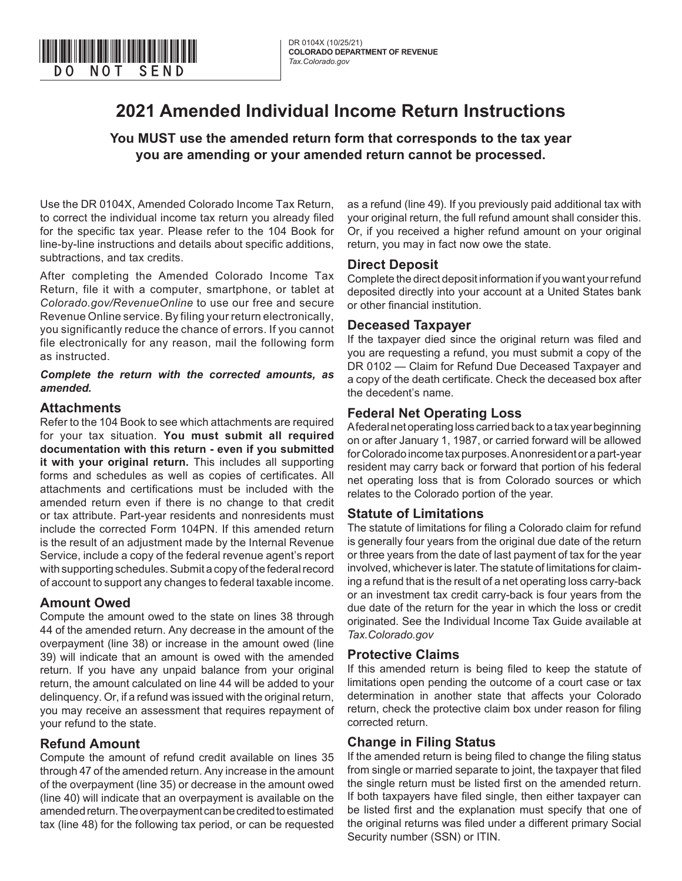

# **2021 Amended Individual Income Return Instructions**

**You MUST use the amended return form that corresponds to the tax year you are amending or your amended return cannot be processed.** 

Use the DR 0104X, Amended Colorado Income Tax Return, to correct the individual income tax return you already filed for the specific tax year. Please refer to the 104 Book for line-by-line instructions and details about specific additions, subtractions, and tax credits.

After completing the Amended Colorado Income Tax Return, file it with a computer, smartphone, or tablet at *Colorado.gov/RevenueOnline* to use our free and secure Revenue Online service. By filing your return electronically, you significantly reduce the chance of errors. If you cannot file electronically for any reason, mail the following form as instructed.

#### *Complete the return with the corrected amounts, as amended.*

### **Attachments**

Refer to the 104 Book to see which attachments are required for your tax situation. **You must submit all required documentation with this return - even if you submitted it with your original return.** This includes all supporting forms and schedules as well as copies of certificates. All attachments and certifications must be included with the amended return even if there is no change to that credit or tax attribute. Part-year residents and nonresidents must include the corrected Form 104PN. If this amended return is the result of an adjustment made by the Internal Revenue Service, include a copy of the federal revenue agent's report with supporting schedules. Submit a copy of the federal record of account to support any changes to federal taxable income.

# **Amount Owed**

Compute the amount owed to the state on lines 38 through 44 of the amended return. Any decrease in the amount of the overpayment (line 38) or increase in the amount owed (line 39) will indicate that an amount is owed with the amended return. If you have any unpaid balance from your original return, the amount calculated on line 44 will be added to your delinquency. Or, if a refund was issued with the original return, you may receive an assessment that requires repayment of your refund to the state.

# **Refund Amount**

Compute the amount of refund credit available on lines 35 through 47 of the amended return. Any increase in the amount of the overpayment (line 35) or decrease in the amount owed (line 40) will indicate that an overpayment is available on the amended return. The overpayment can be credited to estimated tax (line 48) for the following tax period, or can be requested

as a refund (line 49). If you previously paid additional tax with your original return, the full refund amount shall consider this. Or, if you received a higher refund amount on your original return, you may in fact now owe the state.

### **Direct Deposit**

Complete the direct deposit information if you want your refund deposited directly into your account at a United States bank or other financial institution.

### **Deceased Taxpayer**

If the taxpayer died since the original return was filed and you are requesting a refund, you must submit a copy of the DR 0102 — Claim for Refund Due Deceased Taxpayer and a copy of the death certificate. Check the deceased box after the decedent's name.

# **Federal Net Operating Loss**

A federal net operating loss carried back to a tax year beginning on or after January 1, 1987, or carried forward will be allowed for Colorado income tax purposes. A nonresident or a part-year resident may carry back or forward that portion of his federal net operating loss that is from Colorado sources or which relates to the Colorado portion of the year.

# **Statute of Limitations**

The statute of limitations for filing a Colorado claim for refund is generally four years from the original due date of the return or three years from the date of last payment of tax for the year involved, whichever is later. The statute of limitations for claiming a refund that is the result of a net operating loss carry-back or an investment tax credit carry-back is four years from the due date of the return for the year in which the loss or credit originated. See the Individual Income Tax Guide available at *Tax.Colorado.gov*

#### **Protective Claims**

If this amended return is being filed to keep the statute of limitations open pending the outcome of a court case or tax determination in another state that affects your Colorado return, check the protective claim box under reason for filing corrected return.

# **Change in Filing Status**

If the amended return is being filed to change the filing status from single or married separate to joint, the taxpayer that filed the single return must be listed first on the amended return. If both taxpayers have filed single, then either taxpayer can be listed first and the explanation must specify that one of the original returns was filed under a different primary Social Security number (SSN) or ITIN.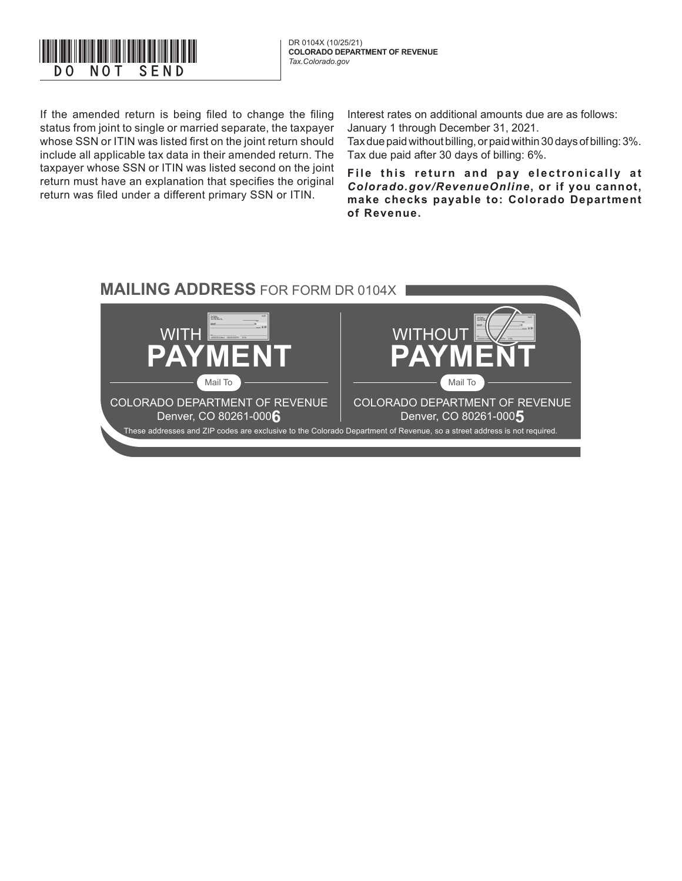

DR 0104X (10/25/21)

If the amended return is being filed to change the filing status from joint to single or married separate, the taxpayer whose SSN or ITIN was listed first on the joint return should include all applicable tax data in their amended return. The taxpayer whose SSN or ITIN was listed second on the joint return must have an explanation that specifies the original return was filed under a different primary SSN or ITIN.

Interest rates on additional amounts due are as follows: January 1 through December 31, 2021.

Tax due paid without billing, or paid within 30 days of billing: 3%. Tax due paid after 30 days of billing: 6%.

File this return and pay electronically at *Colorado.gov/RevenueOnline***, or if you cannot, make checks payable to: Colorado Department of Revenue.**

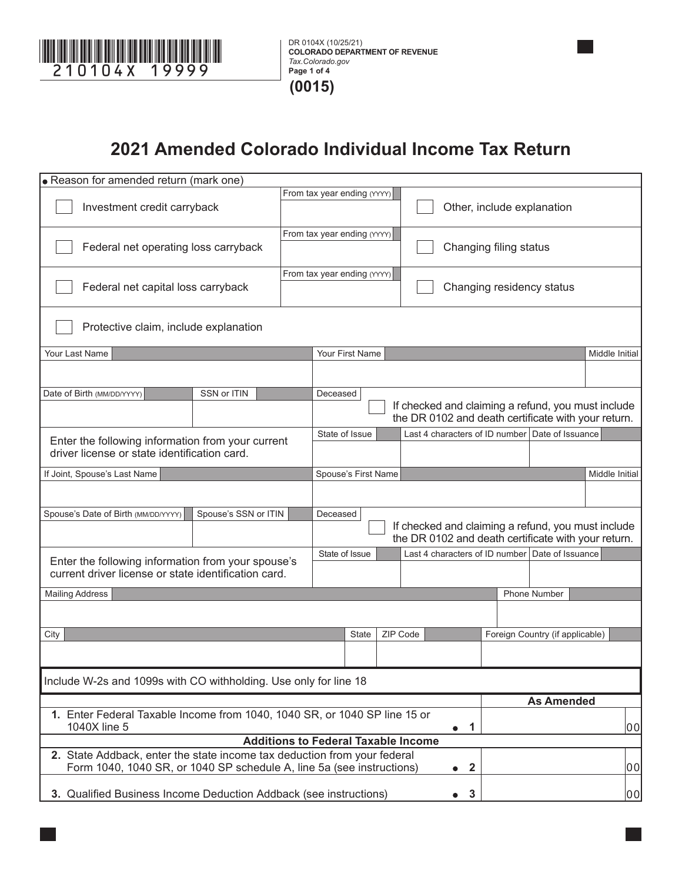

# **2021 Amended Colorado Individual Income Tax Return**

| · Reason for amended return (mark one)                                                                                                                                                     |                                                                                                           |                             |                             |                            |                           |    |    |  |                                                                                                           |                |  |
|--------------------------------------------------------------------------------------------------------------------------------------------------------------------------------------------|-----------------------------------------------------------------------------------------------------------|-----------------------------|-----------------------------|----------------------------|---------------------------|----|----|--|-----------------------------------------------------------------------------------------------------------|----------------|--|
| Investment credit carryback                                                                                                                                                                |                                                                                                           | From tax year ending (YYYY) |                             | Other, include explanation |                           |    |    |  |                                                                                                           |                |  |
| Federal net operating loss carryback                                                                                                                                                       |                                                                                                           | From tax year ending (YYYY) |                             | Changing filing status     |                           |    |    |  |                                                                                                           |                |  |
| Federal net capital loss carryback                                                                                                                                                         |                                                                                                           |                             | From tax year ending (YYYY) |                            | Changing residency status |    |    |  |                                                                                                           |                |  |
| Protective claim, include explanation                                                                                                                                                      |                                                                                                           |                             |                             |                            |                           |    |    |  |                                                                                                           |                |  |
| Your Last Name                                                                                                                                                                             |                                                                                                           |                             | Your First Name             |                            |                           |    |    |  |                                                                                                           | Middle Initial |  |
|                                                                                                                                                                                            |                                                                                                           |                             |                             |                            |                           |    |    |  |                                                                                                           |                |  |
| Date of Birth (MM/DD/YYYY)<br>SSN or ITIN                                                                                                                                                  |                                                                                                           | Deceased                    |                             |                            |                           |    |    |  | If checked and claiming a refund, you must include<br>the DR 0102 and death certificate with your return. |                |  |
|                                                                                                                                                                                            |                                                                                                           |                             | State of Issue              |                            |                           |    |    |  | Last 4 characters of ID number Date of Issuance                                                           |                |  |
| Enter the following information from your current<br>driver license or state identification card.                                                                                          |                                                                                                           |                             |                             |                            |                           |    |    |  |                                                                                                           |                |  |
| If Joint, Spouse's Last Name                                                                                                                                                               |                                                                                                           |                             | Spouse's First Name         |                            |                           |    |    |  |                                                                                                           | Middle Initial |  |
|                                                                                                                                                                                            |                                                                                                           |                             |                             |                            |                           |    |    |  |                                                                                                           |                |  |
| Spouse's Date of Birth (MM/DD/YYYY)<br>Spouse's SSN or ITIN                                                                                                                                |                                                                                                           |                             | Deceased                    |                            |                           |    |    |  |                                                                                                           |                |  |
|                                                                                                                                                                                            | If checked and claiming a refund, you must include<br>the DR 0102 and death certificate with your return. |                             |                             |                            |                           |    |    |  |                                                                                                           |                |  |
|                                                                                                                                                                                            |                                                                                                           |                             | State of Issue              |                            |                           |    |    |  | Last 4 characters of ID number Date of Issuance                                                           |                |  |
| Enter the following information from your spouse's<br>current driver license or state identification card.                                                                                 |                                                                                                           |                             |                             |                            |                           |    |    |  |                                                                                                           |                |  |
| <b>Mailing Address</b>                                                                                                                                                                     |                                                                                                           |                             |                             |                            |                           |    |    |  | <b>Phone Number</b>                                                                                       |                |  |
|                                                                                                                                                                                            |                                                                                                           |                             |                             |                            |                           |    |    |  |                                                                                                           |                |  |
| City                                                                                                                                                                                       |                                                                                                           |                             | State                       |                            | ZIP Code                  |    |    |  | Foreign Country (if applicable)                                                                           |                |  |
|                                                                                                                                                                                            |                                                                                                           |                             |                             |                            |                           |    |    |  |                                                                                                           |                |  |
| Include W-2s and 1099s with CO withholding. Use only for line 18                                                                                                                           |                                                                                                           |                             |                             |                            |                           |    |    |  |                                                                                                           |                |  |
| <b>As Amended</b>                                                                                                                                                                          |                                                                                                           |                             |                             |                            |                           |    |    |  |                                                                                                           |                |  |
| 1. Enter Federal Taxable Income from 1040, 1040 SR, or 1040 SP line 15 or<br>1040X line 5<br>1<br>$\bullet$                                                                                |                                                                                                           |                             |                             |                            |                           | 00 |    |  |                                                                                                           |                |  |
| <b>Additions to Federal Taxable Income</b>                                                                                                                                                 |                                                                                                           |                             |                             |                            |                           |    |    |  |                                                                                                           |                |  |
| 2. State Addback, enter the state income tax deduction from your federal<br> 00 <br>Form 1040, 1040 SR, or 1040 SP schedule A, line 5a (see instructions)<br>$\boldsymbol{2}$<br>$\bullet$ |                                                                                                           |                             |                             |                            |                           |    |    |  |                                                                                                           |                |  |
| 3. Qualified Business Income Deduction Addback (see instructions)<br>$\mathbf{3}$<br>$\bullet$                                                                                             |                                                                                                           |                             |                             |                            |                           |    | 00 |  |                                                                                                           |                |  |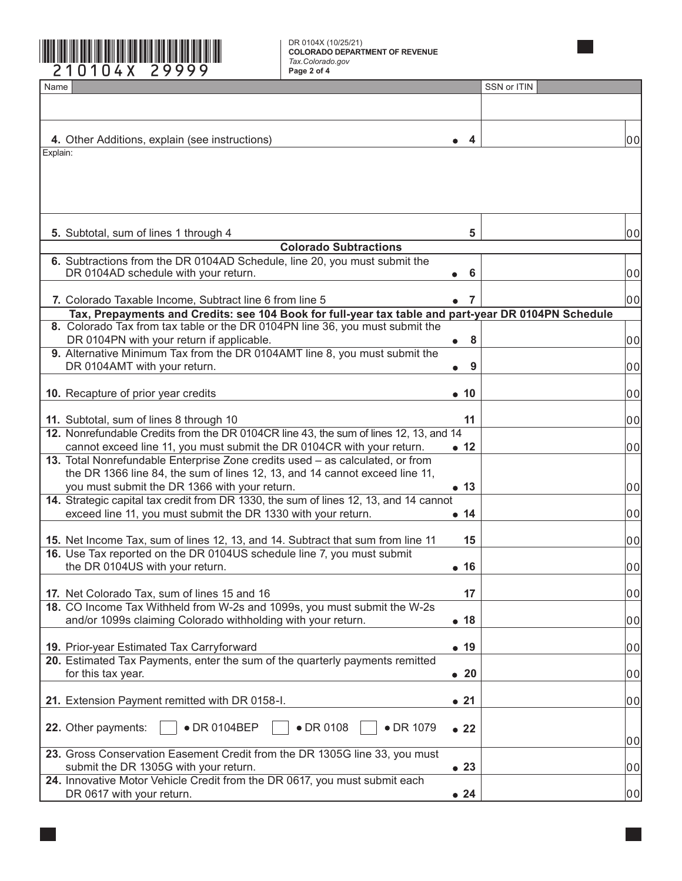

DR 0104X (10/25/21) **COLORADO DEPARTMENT OF REVENUE** *Tax.Colorado.gov*

| Name                                                                                                                                                                                |                | SSN or ITIN |                |
|-------------------------------------------------------------------------------------------------------------------------------------------------------------------------------------|----------------|-------------|----------------|
|                                                                                                                                                                                     |                |             |                |
|                                                                                                                                                                                     |                |             |                |
| 4. Other Additions, explain (see instructions)                                                                                                                                      | 4              |             | 00             |
| Explain:                                                                                                                                                                            |                |             |                |
|                                                                                                                                                                                     |                |             |                |
|                                                                                                                                                                                     |                |             |                |
|                                                                                                                                                                                     |                |             |                |
|                                                                                                                                                                                     |                |             |                |
| 5. Subtotal, sum of lines 1 through 4                                                                                                                                               | 5              |             | 00             |
| <b>Colorado Subtractions</b>                                                                                                                                                        |                |             |                |
| 6. Subtractions from the DR 0104AD Schedule, line 20, you must submit the                                                                                                           |                |             |                |
| DR 0104AD schedule with your return.                                                                                                                                                | 6              |             | 00             |
|                                                                                                                                                                                     |                |             |                |
| 7. Colorado Taxable Income, Subtract line 6 from line 5                                                                                                                             | 7              |             | 00             |
| Tax, Prepayments and Credits: see 104 Book for full-year tax table and part-year DR 0104PN Schedule<br>8. Colorado Tax from tax table or the DR 0104PN line 36, you must submit the |                |             |                |
| DR 0104PN with your return if applicable.                                                                                                                                           | 8<br>$\bullet$ |             | 00             |
| 9. Alternative Minimum Tax from the DR 0104AMT line 8, you must submit the                                                                                                          |                |             |                |
| DR 0104AMT with your return.                                                                                                                                                        | 9              |             | 00             |
|                                                                                                                                                                                     |                |             |                |
| 10. Recapture of prior year credits                                                                                                                                                 | $\bullet$ 10   |             | 0 <sub>0</sub> |
|                                                                                                                                                                                     |                |             |                |
| 11. Subtotal, sum of lines 8 through 10<br>12. Nonrefundable Credits from the DR 0104CR line 43, the sum of lines 12, 13, and 14                                                    | 11             |             | 00             |
| cannot exceed line 11, you must submit the DR 0104CR with your return.                                                                                                              | • 12           |             | 00             |
| 13. Total Nonrefundable Enterprise Zone credits used - as calculated, or from                                                                                                       |                |             |                |
| the DR 1366 line 84, the sum of lines 12, 13, and 14 cannot exceed line 11,                                                                                                         |                |             |                |
| you must submit the DR 1366 with your return.                                                                                                                                       | • 13           |             | 00             |
| 14. Strategic capital tax credit from DR 1330, the sum of lines 12, 13, and 14 cannot                                                                                               |                |             |                |
| exceed line 11, you must submit the DR 1330 with your return.                                                                                                                       | • 14           |             | 00             |
|                                                                                                                                                                                     |                |             |                |
| 15. Net Income Tax, sum of lines 12, 13, and 14. Subtract that sum from line 11<br>16. Use Tax reported on the DR 0104US schedule line 7, you must submit                           | 15             |             | 00             |
| the DR 0104US with your return.                                                                                                                                                     | • 16           |             | 00             |
|                                                                                                                                                                                     |                |             |                |
| 17. Net Colorado Tax, sum of lines 15 and 16                                                                                                                                        | 17             |             | 00             |
| 18. CO Income Tax Withheld from W-2s and 1099s, you must submit the W-2s                                                                                                            |                |             |                |
| and/or 1099s claiming Colorado withholding with your return.                                                                                                                        | • 18           |             | 00             |
|                                                                                                                                                                                     |                |             |                |
| 19. Prior-year Estimated Tax Carryforward<br>20. Estimated Tax Payments, enter the sum of the quarterly payments remitted                                                           | • 19           |             | 00             |
| for this tax year.                                                                                                                                                                  | $\bullet$ 20   |             | 00             |
|                                                                                                                                                                                     |                |             |                |
| 21. Extension Payment remitted with DR 0158-I.                                                                                                                                      | •21            |             | 00             |
|                                                                                                                                                                                     |                |             |                |
| • DR 0104BEP<br>• DR 0108<br>22. Other payments:<br>• DR 1079                                                                                                                       | $\bullet$ 22   |             |                |
|                                                                                                                                                                                     |                |             | 0이             |
| 23. Gross Conservation Easement Credit from the DR 1305G line 33, you must                                                                                                          |                |             |                |
| submit the DR 1305G with your return.                                                                                                                                               | • 23           |             | 00             |
| 24. Innovative Motor Vehicle Credit from the DR 0617, you must submit each<br>DR 0617 with your return.                                                                             | $\bullet$ 24   |             | 00             |
|                                                                                                                                                                                     |                |             |                |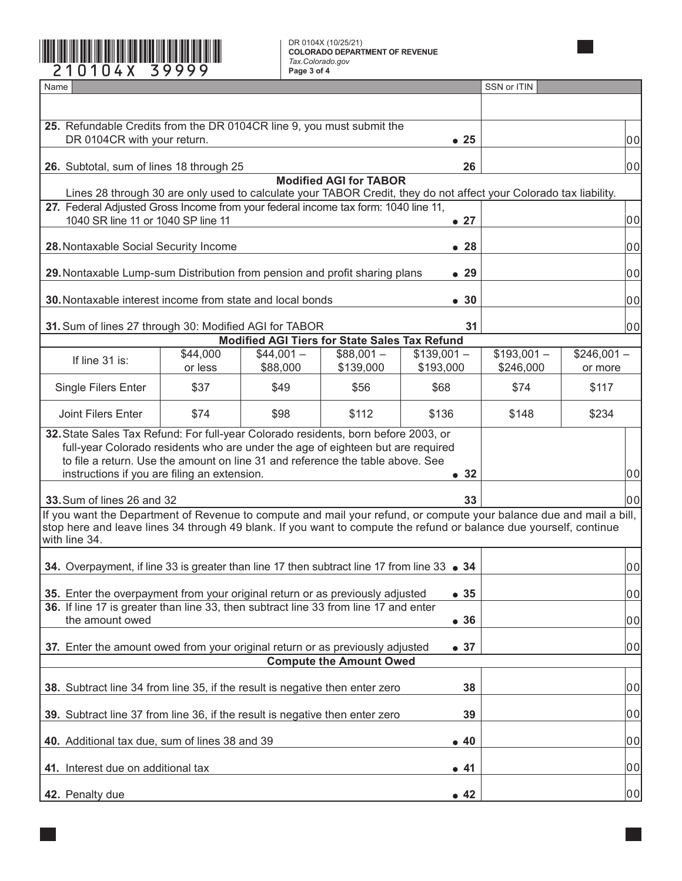**Page 3 of 4** \*210104X=39999\*

DR 0104X (10/25/21) **COLORADO DEPARTMENT OF REVENUE** *Tax.Colorado.gov*

| Name                                                                                                                                                                                                                                                                                                            |                     |                                                      |                         |                           | SSN or ITIN              |                         |  |  |  |
|-----------------------------------------------------------------------------------------------------------------------------------------------------------------------------------------------------------------------------------------------------------------------------------------------------------------|---------------------|------------------------------------------------------|-------------------------|---------------------------|--------------------------|-------------------------|--|--|--|
|                                                                                                                                                                                                                                                                                                                 |                     |                                                      |                         |                           |                          |                         |  |  |  |
| 25. Refundable Credits from the DR 0104CR line 9, you must submit the                                                                                                                                                                                                                                           |                     |                                                      |                         |                           |                          | 00                      |  |  |  |
| DR 0104CR with your return.<br>$\bullet$ 25                                                                                                                                                                                                                                                                     |                     |                                                      |                         |                           |                          |                         |  |  |  |
| 26. Subtotal, sum of lines 18 through 25                                                                                                                                                                                                                                                                        |                     |                                                      |                         | 26                        |                          | 00                      |  |  |  |
| <b>Modified AGI for TABOR</b><br>Lines 28 through 30 are only used to calculate your TABOR Credit, they do not affect your Colorado tax liability.                                                                                                                                                              |                     |                                                      |                         |                           |                          |                         |  |  |  |
| 27. Federal Adjusted Gross Income from your federal income tax form: 1040 line 11,<br>1040 SR line 11 or 1040 SP line 11                                                                                                                                                                                        |                     |                                                      |                         | $\bullet$ 27              |                          | 00                      |  |  |  |
| 28. Nontaxable Social Security Income                                                                                                                                                                                                                                                                           |                     |                                                      |                         | $\bullet$ 28              |                          | 00                      |  |  |  |
| 29. Nontaxable Lump-sum Distribution from pension and profit sharing plans                                                                                                                                                                                                                                      |                     |                                                      |                         | $\bullet$ 29              | 00                       |                         |  |  |  |
|                                                                                                                                                                                                                                                                                                                 |                     |                                                      |                         |                           |                          |                         |  |  |  |
| 30. Nontaxable interest income from state and local bonds                                                                                                                                                                                                                                                       |                     |                                                      |                         | • 30                      |                          | 00                      |  |  |  |
| 31. Sum of lines 27 through 30: Modified AGI for TABOR                                                                                                                                                                                                                                                          |                     |                                                      |                         | 31                        |                          | 00                      |  |  |  |
|                                                                                                                                                                                                                                                                                                                 |                     | <b>Modified AGI Tiers for State Sales Tax Refund</b> |                         |                           |                          |                         |  |  |  |
| If line 31 is:                                                                                                                                                                                                                                                                                                  | \$44,000<br>or less | $$44,001-$<br>\$88,000                               | $$88,001-$<br>\$139,000 | $$139,001 -$<br>\$193,000 | $$193,001-$<br>\$246,000 | $$246,001 -$<br>or more |  |  |  |
| Single Filers Enter                                                                                                                                                                                                                                                                                             | \$37                | \$49                                                 | \$56                    | \$68                      | \$74                     | \$117                   |  |  |  |
| Joint Filers Enter                                                                                                                                                                                                                                                                                              | \$74                | \$98                                                 | \$112                   | \$136                     | \$148                    | \$234                   |  |  |  |
| 32. State Sales Tax Refund: For full-year Colorado residents, born before 2003, or<br>full-year Colorado residents who are under the age of eighteen but are required<br>to file a return. Use the amount on line 31 and reference the table above. See<br>instructions if you are filing an extension.<br>• 32 |                     |                                                      |                         |                           |                          | 00                      |  |  |  |
| 33. Sum of lines 26 and 32<br>33                                                                                                                                                                                                                                                                                |                     |                                                      |                         |                           |                          | 00                      |  |  |  |
| If you want the Department of Revenue to compute and mail your refund, or compute your balance due and mail a bill,<br>stop here and leave lines 34 through 49 blank. If you want to compute the refund or balance due yourself, continue<br>with line 34.                                                      |                     |                                                      |                         |                           |                          |                         |  |  |  |
| 34. Overpayment, if line 33 is greater than line 17 then subtract line 17 from line 33 • 34                                                                                                                                                                                                                     |                     |                                                      |                         |                           |                          | 00                      |  |  |  |
| 35. Enter the overpayment from your original return or as previously adjusted                                                                                                                                                                                                                                   |                     | 00                                                   |                         |                           |                          |                         |  |  |  |
| •35<br>36. If line 17 is greater than line 33, then subtract line 33 from line 17 and enter                                                                                                                                                                                                                     |                     |                                                      |                         |                           |                          |                         |  |  |  |
| the amount owed<br>• 36                                                                                                                                                                                                                                                                                         |                     |                                                      |                         |                           |                          | 00                      |  |  |  |
| 37. Enter the amount owed from your original return or as previously adjusted<br>• 37<br><b>Compute the Amount Owed</b>                                                                                                                                                                                         |                     |                                                      |                         |                           |                          | 00                      |  |  |  |
|                                                                                                                                                                                                                                                                                                                 |                     |                                                      |                         |                           |                          |                         |  |  |  |
| 38. Subtract line 34 from line 35, if the result is negative then enter zero<br>38                                                                                                                                                                                                                              |                     |                                                      |                         |                           |                          | 00                      |  |  |  |
| 39. Subtract line 37 from line 36, if the result is negative then enter zero<br>39                                                                                                                                                                                                                              |                     |                                                      |                         |                           |                          | 00                      |  |  |  |
| 40. Additional tax due, sum of lines 38 and 39<br>$\bullet$ 40                                                                                                                                                                                                                                                  |                     |                                                      |                         |                           |                          | 00                      |  |  |  |
| 41. Interest due on additional tax<br>• 41                                                                                                                                                                                                                                                                      |                     |                                                      |                         |                           | 00                       |                         |  |  |  |
| 42. Penalty due<br>•42                                                                                                                                                                                                                                                                                          |                     |                                                      |                         |                           |                          | 00                      |  |  |  |